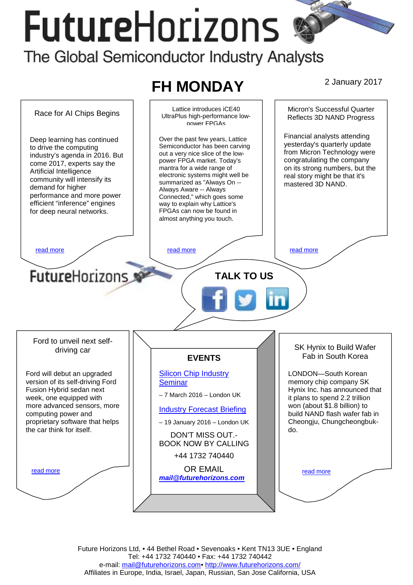# **FutureHorizons**



Future Horizons Ltd, • 44 Bethel Road • Sevenoaks • Kent TN13 3UE • England Tel: +44 1732 740440 • Fax: +44 1732 740442 e-mail: mail@futurehorizons.com• http://www.futurehorizons.com/ Affiliates in Europe, India, Israel, Japan, Russian, San Jose California, USA